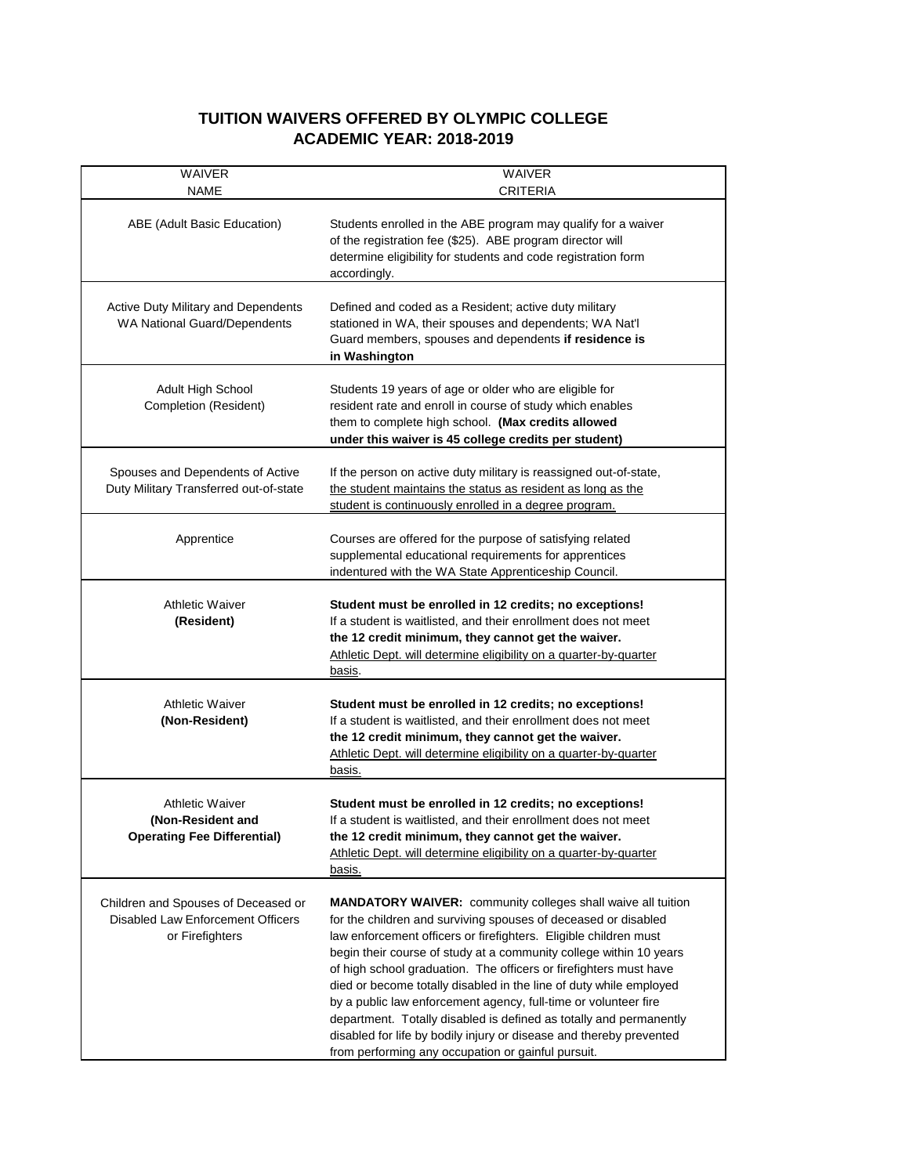## **TUITION WAIVERS OFFERED BY OLYMPIC COLLEGE ACADEMIC YEAR: 2018-2019**

| <b>WAIVER</b><br>NAME                                                                       | <b>WAIVER</b><br>CRITERIA                                                                                                                                                                                                                                                                                                                                                                                                                                                                                                                                                                                                                                                                        |
|---------------------------------------------------------------------------------------------|--------------------------------------------------------------------------------------------------------------------------------------------------------------------------------------------------------------------------------------------------------------------------------------------------------------------------------------------------------------------------------------------------------------------------------------------------------------------------------------------------------------------------------------------------------------------------------------------------------------------------------------------------------------------------------------------------|
| ABE (Adult Basic Education)                                                                 | Students enrolled in the ABE program may qualify for a waiver<br>of the registration fee (\$25). ABE program director will<br>determine eligibility for students and code registration form<br>accordingly.                                                                                                                                                                                                                                                                                                                                                                                                                                                                                      |
| <b>Active Duty Military and Dependents</b><br>WA National Guard/Dependents                  | Defined and coded as a Resident; active duty military<br>stationed in WA, their spouses and dependents; WA Nat'l<br>Guard members, spouses and dependents if residence is<br>in Washington                                                                                                                                                                                                                                                                                                                                                                                                                                                                                                       |
| <b>Adult High School</b><br>Completion (Resident)                                           | Students 19 years of age or older who are eligible for<br>resident rate and enroll in course of study which enables<br>them to complete high school. (Max credits allowed<br>under this waiver is 45 college credits per student)                                                                                                                                                                                                                                                                                                                                                                                                                                                                |
| Spouses and Dependents of Active<br>Duty Military Transferred out-of-state                  | If the person on active duty military is reassigned out-of-state,<br>the student maintains the status as resident as long as the<br>student is continuously enrolled in a degree program.                                                                                                                                                                                                                                                                                                                                                                                                                                                                                                        |
| Apprentice                                                                                  | Courses are offered for the purpose of satisfying related<br>supplemental educational requirements for apprentices<br>indentured with the WA State Apprenticeship Council.                                                                                                                                                                                                                                                                                                                                                                                                                                                                                                                       |
| <b>Athletic Waiver</b><br>(Resident)                                                        | Student must be enrolled in 12 credits; no exceptions!<br>If a student is waitlisted, and their enrollment does not meet<br>the 12 credit minimum, they cannot get the waiver.<br>Athletic Dept. will determine eligibility on a quarter-by-quarter<br>basis.                                                                                                                                                                                                                                                                                                                                                                                                                                    |
| <b>Athletic Waiver</b><br>(Non-Resident)                                                    | Student must be enrolled in 12 credits; no exceptions!<br>If a student is waitlisted, and their enrollment does not meet<br>the 12 credit minimum, they cannot get the waiver.<br>Athletic Dept. will determine eligibility on a quarter-by-quarter<br><u>basis.</u>                                                                                                                                                                                                                                                                                                                                                                                                                             |
| <b>Athletic Waiver</b><br>(Non-Resident and<br><b>Operating Fee Differential)</b>           | Student must be enrolled in 12 credits; no exceptions!<br>If a student is waitlisted, and their enrollment does not meet<br>the 12 credit minimum, they cannot get the waiver.<br>Athletic Dept. will determine eligibility on a quarter-by-quarter<br>basis.                                                                                                                                                                                                                                                                                                                                                                                                                                    |
| Children and Spouses of Deceased or<br>Disabled Law Enforcement Officers<br>or Firefighters | <b>MANDATORY WAIVER:</b> community colleges shall waive all tuition<br>for the children and surviving spouses of deceased or disabled<br>law enforcement officers or firefighters. Eligible children must<br>begin their course of study at a community college within 10 years<br>of high school graduation. The officers or firefighters must have<br>died or become totally disabled in the line of duty while employed<br>by a public law enforcement agency, full-time or volunteer fire<br>department. Totally disabled is defined as totally and permanently<br>disabled for life by bodily injury or disease and thereby prevented<br>from performing any occupation or gainful pursuit. |